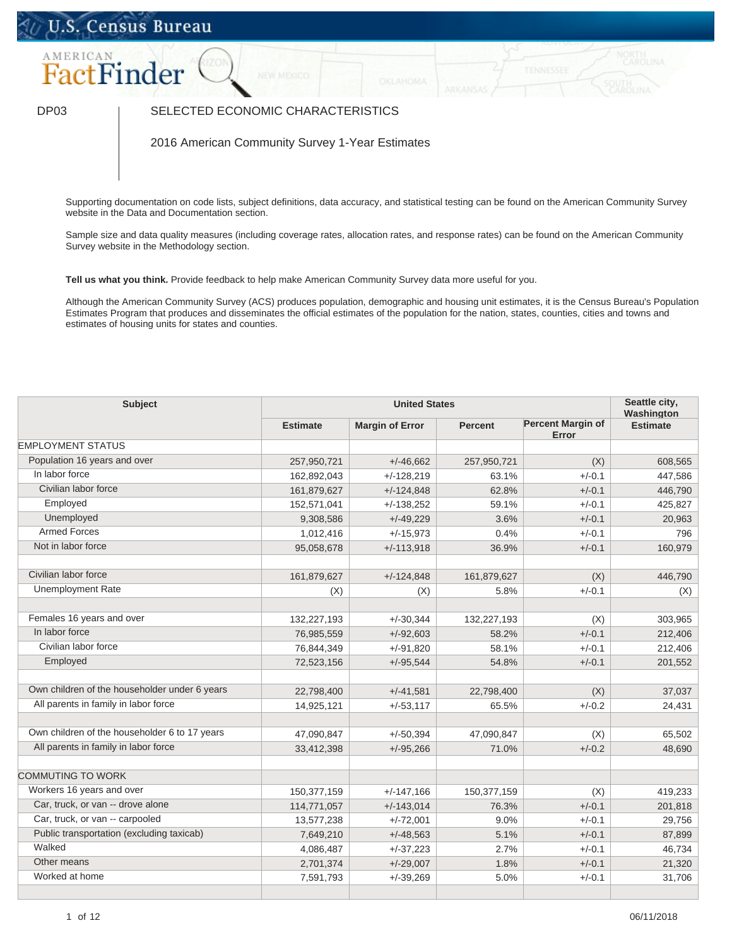## U.S. Census Bureau



## DP03 SELECTED ECONOMIC CHARACTERISTICS

2016 American Community Survey 1-Year Estimates

Supporting documentation on code lists, subject definitions, data accuracy, and statistical testing can be found on the American Community Survey website in the Data and Documentation section.

Sample size and data quality measures (including coverage rates, allocation rates, and response rates) can be found on the American Community Survey website in the Methodology section.

**Tell us what you think.** Provide feedback to help make American Community Survey data more useful for you.

Although the American Community Survey (ACS) produces population, demographic and housing unit estimates, it is the Census Bureau's Population Estimates Program that produces and disseminates the official estimates of the population for the nation, states, counties, cities and towns and estimates of housing units for states and counties.

| Subject<br><b>United States</b>               |                 |                        | Seattle city,<br>Washington |                                   |                 |
|-----------------------------------------------|-----------------|------------------------|-----------------------------|-----------------------------------|-----------------|
|                                               | <b>Estimate</b> | <b>Margin of Error</b> | <b>Percent</b>              | <b>Percent Margin of</b><br>Error | <b>Estimate</b> |
| <b>EMPLOYMENT STATUS</b>                      |                 |                        |                             |                                   |                 |
| Population 16 years and over                  | 257,950,721     | $+/-46,662$            | 257,950,721                 | (X)                               | 608,565         |
| In labor force                                | 162,892,043     | $+/-128,219$           | 63.1%                       | $+/-0.1$                          | 447,586         |
| Civilian labor force                          | 161,879,627     | $+/-124.848$           | 62.8%                       | $+/-0.1$                          | 446,790         |
| Employed                                      | 152,571,041     | $+/-138,252$           | 59.1%                       | $+/-0.1$                          | 425,827         |
| Unemployed                                    | 9,308,586       | $+/-49,229$            | 3.6%                        | $+/-0.1$                          | 20,963          |
| <b>Armed Forces</b>                           | 1,012,416       | $+/-15,973$            | 0.4%                        | $+/-0.1$                          | 796             |
| Not in labor force                            | 95,058,678      | $+/-113,918$           | 36.9%                       | $+/-0.1$                          | 160,979         |
| Civilian labor force                          | 161,879,627     | $+/-124.848$           | 161,879,627                 | (X)                               | 446,790         |
| <b>Unemployment Rate</b>                      | (X)             | (X)                    | 5.8%                        | $+/-0.1$                          | (X)             |
|                                               |                 |                        |                             |                                   |                 |
| Females 16 years and over                     | 132,227,193     | $+/-30,344$            | 132,227,193                 | (X)                               | 303,965         |
| In labor force                                | 76,985,559      | $+/-92,603$            | 58.2%                       | $+/-0.1$                          | 212,406         |
| Civilian labor force                          | 76,844,349      | $+/-91,820$            | 58.1%                       | $+/-0.1$                          | 212,406         |
| Employed                                      | 72,523,156      | $+/-95,544$            | 54.8%                       | $+/-0.1$                          | 201,552         |
|                                               |                 |                        |                             |                                   |                 |
| Own children of the householder under 6 years | 22,798,400      | $+/-41,581$            | 22,798,400                  | (X)                               | 37,037          |
| All parents in family in labor force          | 14,925,121      | $+/-53,117$            | 65.5%                       | $+/-0.2$                          | 24,431          |
|                                               |                 |                        |                             |                                   |                 |
| Own children of the householder 6 to 17 years | 47,090,847      | $+/-50,394$            | 47,090,847                  | (X)                               | 65,502          |
| All parents in family in labor force          | 33,412,398      | $+/-95,266$            | 71.0%                       | $+/-0.2$                          | 48,690          |
| <b>COMMUTING TO WORK</b>                      |                 |                        |                             |                                   |                 |
| Workers 16 years and over                     | 150,377,159     | $+/-147,166$           | 150,377,159                 | (X)                               | 419,233         |
| Car, truck, or van -- drove alone             | 114,771,057     | $+/-143,014$           | 76.3%                       | $+/-0.1$                          | 201,818         |
| Car, truck, or van -- carpooled               | 13,577,238      | $+/-72,001$            | 9.0%                        | $+/-0.1$                          | 29,756          |
| Public transportation (excluding taxicab)     | 7,649,210       | $+/-48,563$            | 5.1%                        | $+/-0.1$                          | 87,899          |
| Walked                                        | 4,086,487       | $+/-37,223$            | 2.7%                        | $+/-0.1$                          | 46,734          |
| Other means                                   | 2,701,374       | $+/-29,007$            | 1.8%                        | $+/-0.1$                          | 21,320          |
| Worked at home                                | 7,591,793       | $+/-39,269$            | 5.0%                        | $+/-0.1$                          | 31,706          |
|                                               |                 |                        |                             |                                   |                 |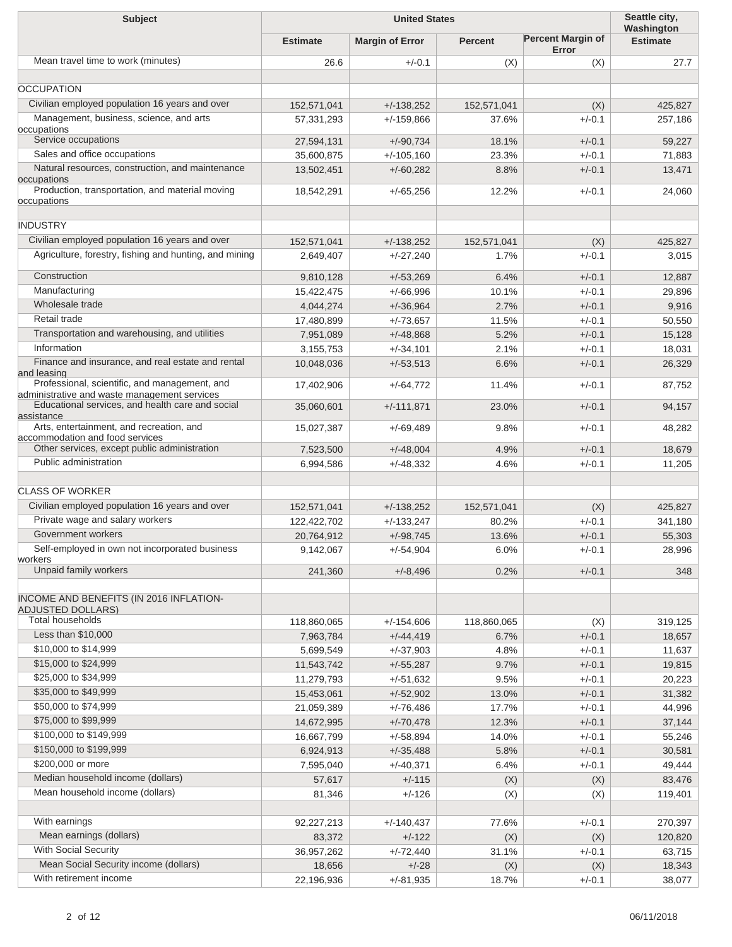| <b>United States</b><br><b>Subject</b>                                      |                           |                              | Seattle city,<br>Washington |                                   |                    |
|-----------------------------------------------------------------------------|---------------------------|------------------------------|-----------------------------|-----------------------------------|--------------------|
|                                                                             | <b>Estimate</b>           | <b>Margin of Error</b>       | <b>Percent</b>              | <b>Percent Margin of</b><br>Error | <b>Estimate</b>    |
| Mean travel time to work (minutes)                                          | 26.6                      | $+/-0.1$                     | (X)                         | (X)                               | 27.7               |
| <b>OCCUPATION</b>                                                           |                           |                              |                             |                                   |                    |
| Civilian employed population 16 years and over                              |                           |                              |                             |                                   |                    |
| Management, business, science, and arts                                     | 152,571,041<br>57,331,293 | $+/-138,252$<br>$+/-159,866$ | 152,571,041<br>37.6%        | (X)<br>$+/-0.1$                   | 425,827<br>257,186 |
| occupations                                                                 |                           |                              |                             |                                   |                    |
| Service occupations                                                         | 27,594,131                | $+/-90,734$                  | 18.1%                       | $+/-0.1$                          | 59,227             |
| Sales and office occupations                                                | 35,600,875                | $+/-105,160$                 | 23.3%                       | $+/-0.1$                          | 71,883             |
| Natural resources, construction, and maintenance<br>occupations             | 13,502,451                | $+/-60,282$                  | 8.8%                        | $+/-0.1$                          | 13,471             |
| Production, transportation, and material moving<br>occupations              | 18,542,291                | $+/-65,256$                  | 12.2%                       | $+/-0.1$                          | 24,060             |
|                                                                             |                           |                              |                             |                                   |                    |
| <b>INDUSTRY</b>                                                             |                           |                              |                             |                                   |                    |
| Civilian employed population 16 years and over                              | 152,571,041               | $+/-138,252$                 | 152,571,041                 | (X)                               | 425,827            |
| Agriculture, forestry, fishing and hunting, and mining                      | 2,649,407                 | $+/-27,240$                  | 1.7%                        | $+/-0.1$                          | 3,015              |
| Construction                                                                | 9,810,128                 | $+/-53,269$                  | 6.4%                        | $+/-0.1$                          | 12,887             |
| Manufacturing                                                               | 15,422,475                | $+/-66,996$                  | 10.1%                       | $+/-0.1$                          | 29,896             |
| Wholesale trade                                                             | 4,044,274                 | $+/-36,964$                  | 2.7%                        | $+/-0.1$                          | 9,916              |
| Retail trade                                                                | 17,480,899                | $+/-73,657$                  | 11.5%                       | $+/-0.1$                          | 50,550             |
| Transportation and warehousing, and utilities                               | 7,951,089                 | $+/-48,868$                  | 5.2%                        | $+/-0.1$                          | 15,128             |
| Information                                                                 | 3,155,753                 | $+/-34,101$                  | 2.1%                        | $+/-0.1$                          | 18,031             |
| Finance and insurance, and real estate and rental                           | 10,048,036                | $+/-53,513$                  | 6.6%                        | $+/-0.1$                          | 26,329             |
| and leasing<br>Professional, scientific, and management, and                |                           |                              |                             |                                   |                    |
| administrative and waste management services                                | 17,402,906                | $+/-64,772$                  | 11.4%                       | $+/-0.1$                          | 87,752             |
| Educational services, and health care and social<br>assistance              | 35,060,601                | $+/-111,871$                 | 23.0%                       | $+/-0.1$                          | 94,157             |
| Arts, entertainment, and recreation, and<br>accommodation and food services | 15,027,387                | $+/-69,489$                  | 9.8%                        | $+/-0.1$                          | 48,282             |
| Other services, except public administration                                | 7,523,500                 | $+/-48,004$                  | 4.9%                        | $+/-0.1$                          | 18,679             |
| Public administration                                                       | 6,994,586                 | $+/-48,332$                  | 4.6%                        | $+/-0.1$                          | 11,205             |
|                                                                             |                           |                              |                             |                                   |                    |
| <b>CLASS OF WORKER</b>                                                      |                           |                              |                             |                                   |                    |
| Civilian employed population 16 years and over                              | 152,571,041               | $+/-138,252$                 | 152,571,041                 | (X)                               | 425,827            |
| Private wage and salary workers                                             | 122,422,702               | $+/-133,247$                 | 80.2%                       | $+/-0.1$                          | 341,180            |
| Government workers                                                          | 20,764,912                | $+/-98,745$                  | 13.6%                       | $+/-0.1$                          | 55,303             |
| Self-employed in own not incorporated business                              | 9,142,067                 | $+/-54,904$                  | 6.0%                        | $+/-0.1$                          | 28,996             |
| workers<br>Unpaid family workers                                            | 241,360                   | $+/-8,496$                   | 0.2%                        | $+/-0.1$                          | 348                |
|                                                                             |                           |                              |                             |                                   |                    |
| INCOME AND BENEFITS (IN 2016 INFLATION-                                     |                           |                              |                             |                                   |                    |
| <b>ADJUSTED DOLLARS)</b><br><b>Total households</b>                         |                           |                              |                             |                                   |                    |
| Less than \$10,000                                                          | 118,860,065               | $+/-154,606$                 | 118,860,065                 | (X)                               | 319,125            |
| \$10,000 to \$14,999                                                        | 7,963,784<br>5,699,549    | $+/-44,419$<br>$+/-37,903$   | 6.7%<br>4.8%                | $+/-0.1$<br>$+/-0.1$              | 18,657<br>11,637   |
| \$15,000 to \$24,999                                                        | 11,543,742                | $+/-55,287$                  | 9.7%                        | $+/-0.1$                          | 19,815             |
| \$25,000 to \$34,999                                                        | 11,279,793                | $+/-51,632$                  | 9.5%                        | $+/-0.1$                          | 20,223             |
| \$35,000 to \$49,999                                                        | 15,453,061                | $+/-52,902$                  | 13.0%                       | $+/-0.1$                          | 31,382             |
| \$50,000 to \$74,999                                                        | 21,059,389                | $+/-76,486$                  | 17.7%                       | $+/-0.1$                          | 44,996             |
| \$75,000 to \$99,999                                                        | 14,672,995                | $+/-70,478$                  | 12.3%                       | $+/-0.1$                          | 37,144             |
| \$100,000 to \$149,999                                                      | 16,667,799                | $+/-58,894$                  | 14.0%                       | $+/-0.1$                          | 55,246             |
| \$150,000 to \$199,999                                                      | 6,924,913                 | $+/-35,488$                  | 5.8%                        | $+/-0.1$                          | 30,581             |
| \$200,000 or more                                                           | 7,595,040                 | $+/-40,371$                  | 6.4%                        | $+/-0.1$                          | 49,444             |
| Median household income (dollars)                                           | 57,617                    | $+/-115$                     | (X)                         | (X)                               | 83,476             |
| Mean household income (dollars)                                             | 81,346                    | $+/-126$                     | (X)                         | (X)                               | 119,401            |
|                                                                             |                           |                              |                             |                                   |                    |
| With earnings                                                               | 92,227,213                | $+/-140,437$                 | 77.6%                       | $+/-0.1$                          | 270,397            |
| Mean earnings (dollars)                                                     | 83,372                    | $+/-122$                     | (X)                         | (X)                               | 120,820            |
| With Social Security                                                        | 36,957,262                | $+/-72,440$                  | 31.1%                       | $+/-0.1$                          | 63,715             |
| Mean Social Security income (dollars)                                       | 18,656                    | $+/-28$                      | (X)                         | (X)                               | 18,343             |
| With retirement income                                                      | 22,196,936                | $+/-81,935$                  | 18.7%                       | $+/-0.1$                          | 38,077             |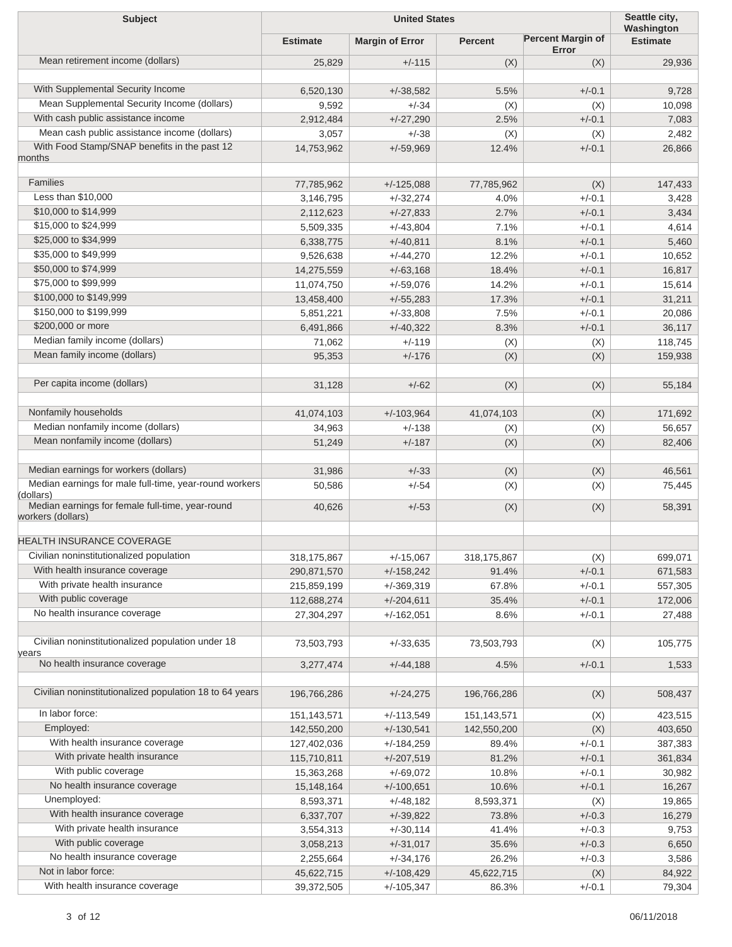| <b>Subject</b>                                                |                 | Seattle city,<br>Washington |                |                                   |                  |
|---------------------------------------------------------------|-----------------|-----------------------------|----------------|-----------------------------------|------------------|
|                                                               | <b>Estimate</b> | <b>Margin of Error</b>      | <b>Percent</b> | <b>Percent Margin of</b><br>Error | <b>Estimate</b>  |
| Mean retirement income (dollars)                              | 25,829          | $+/-115$                    | (X)            | (X)                               | 29,936           |
| With Supplemental Security Income                             | 6,520,130       | $+/-38,582$                 | 5.5%           | $+/-0.1$                          | 9,728            |
| Mean Supplemental Security Income (dollars)                   | 9,592           | $+/-34$                     | (X)            | (X)                               | 10,098           |
| With cash public assistance income                            | 2,912,484       | $+/-27,290$                 | 2.5%           | $+/-0.1$                          | 7,083            |
| Mean cash public assistance income (dollars)                  | 3,057           | $+/-38$                     | (X)            | (X)                               | 2,482            |
| With Food Stamp/SNAP benefits in the past 12                  | 14,753,962      | $+/-59,969$                 | 12.4%          | $+/-0.1$                          | 26,866           |
| months                                                        |                 |                             |                |                                   |                  |
| <b>Families</b>                                               | 77,785,962      | $+/-125,088$                | 77,785,962     |                                   |                  |
| Less than \$10,000                                            | 3,146,795       | $+/-32,274$                 | 4.0%           | (X)<br>$+/-0.1$                   | 147,433<br>3,428 |
| \$10,000 to \$14,999                                          | 2,112,623       | $+/-27,833$                 | 2.7%           | $+/-0.1$                          | 3,434            |
| \$15,000 to \$24,999                                          | 5,509,335       | $+/-43,804$                 | 7.1%           | $+/-0.1$                          | 4,614            |
| \$25,000 to \$34,999                                          | 6,338,775       | $+/-40,811$                 | 8.1%           | $+/-0.1$                          | 5,460            |
| \$35,000 to \$49,999                                          | 9,526,638       | $+/-44,270$                 | 12.2%          | $+/-0.1$                          | 10,652           |
| \$50,000 to \$74,999                                          | 14,275,559      | $+/-63,168$                 | 18.4%          | $+/-0.1$                          | 16,817           |
| \$75,000 to \$99,999                                          | 11,074,750      | $+/-59,076$                 | 14.2%          | $+/-0.1$                          | 15,614           |
| \$100,000 to \$149,999                                        | 13,458,400      | $+/-55,283$                 | 17.3%          | $+/-0.1$                          | 31,211           |
| \$150,000 to \$199,999                                        | 5,851,221       | $+/-33,808$                 | 7.5%           | $+/-0.1$                          | 20,086           |
| \$200,000 or more                                             | 6,491,866       | $+/-40,322$                 | 8.3%           | $+/-0.1$                          | 36,117           |
| Median family income (dollars)                                | 71,062          | $+/-119$                    | (X)            | (X)                               | 118,745          |
| Mean family income (dollars)                                  | 95,353          | $+/-176$                    | (X)            | (X)                               | 159,938          |
|                                                               |                 |                             |                |                                   |                  |
| Per capita income (dollars)                                   | 31,128          | $+/-62$                     | (X)            | (X)                               | 55,184           |
| Nonfamily households                                          | 41,074,103      | $+/-103,964$                | 41,074,103     |                                   | 171,692          |
| Median nonfamily income (dollars)                             | 34,963          | $+/-138$                    | (X)            | (X)<br>(X)                        | 56,657           |
| Mean nonfamily income (dollars)                               | 51,249          | $+/-187$                    | (X)            | (X)                               | 82,406           |
|                                                               |                 |                             |                |                                   |                  |
| Median earnings for workers (dollars)                         | 31,986          | $+/-33$                     | (X)            | (X)                               | 46,561           |
| Median earnings for male full-time, year-round workers        | 50,586          | $+/-54$                     | (X)            | (X)                               | 75,445           |
| (dollars)<br>Median earnings for female full-time, year-round | 40,626          | $+/-53$                     | (X)            | (X)                               | 58,391           |
| workers (dollars)                                             |                 |                             |                |                                   |                  |
| HEALTH INSURANCE COVERAGE                                     |                 |                             |                |                                   |                  |
| Civilian noninstitutionalized population                      | 318, 175, 867   | $+/-15,067$                 | 318, 175, 867  | (X)                               | 699,071          |
| With health insurance coverage                                | 290,871,570     | $+/-158,242$                | 91.4%          | $+/-0.1$                          | 671,583          |
| With private health insurance                                 | 215,859,199     | $+/-369,319$                | 67.8%          | $+/-0.1$                          | 557,305          |
| With public coverage                                          | 112,688,274     | $+/-204,611$                | 35.4%          | $+/-0.1$                          | 172,006          |
| No health insurance coverage                                  | 27,304,297      | $+/-162,051$                | 8.6%           | $+/-0.1$                          | 27,488           |
| Civilian noninstitutionalized population under 18             | 73,503,793      | $+/-33,635$                 |                |                                   | 105,775          |
| years                                                         |                 |                             | 73,503,793     | (X)                               |                  |
| No health insurance coverage                                  | 3,277,474       | $+/-44,188$                 | 4.5%           | $+/-0.1$                          | 1,533            |
| Civilian noninstitutionalized population 18 to 64 years       | 196,766,286     | $+/-24,275$                 | 196,766,286    | (X)                               | 508,437          |
| In labor force:                                               | 151,143,571     | $+/-113,549$                | 151,143,571    | (X)                               | 423,515          |
| Employed:                                                     | 142,550,200     | $+/-130,541$                | 142,550,200    | (X)                               | 403,650          |
| With health insurance coverage                                | 127,402,036     | $+/-184,259$                | 89.4%          | $+/-0.1$                          | 387,383          |
| With private health insurance                                 | 115,710,811     | $+/-207,519$                | 81.2%          | $+/-0.1$                          | 361,834          |
| With public coverage                                          | 15,363,268      | $+/-69,072$                 | 10.8%          | $+/-0.1$                          | 30,982           |
| No health insurance coverage                                  | 15,148,164      | $+/-100,651$                | 10.6%          | $+/-0.1$                          | 16,267           |
| Unemployed:                                                   | 8,593,371       | $+/-48,182$                 | 8,593,371      | (X)                               | 19,865           |
| With health insurance coverage                                | 6,337,707       | $+/-39,822$                 | 73.8%          | $+/-0.3$                          | 16,279           |
| With private health insurance                                 | 3,554,313       | $+/-30,114$                 | 41.4%          | $+/-0.3$                          | 9,753            |
| With public coverage                                          | 3,058,213       | $+/-31,017$                 | 35.6%          | $+/-0.3$                          | 6,650            |
| No health insurance coverage                                  | 2,255,664       | $+/-34,176$                 | 26.2%          | $+/-0.3$                          | 3,586            |
| Not in labor force:                                           | 45,622,715      | $+/-108,429$                | 45,622,715     | (X)                               | 84,922           |
| With health insurance coverage                                | 39,372,505      | $+/-105,347$                | 86.3%          | $+/-0.1$                          | 79,304           |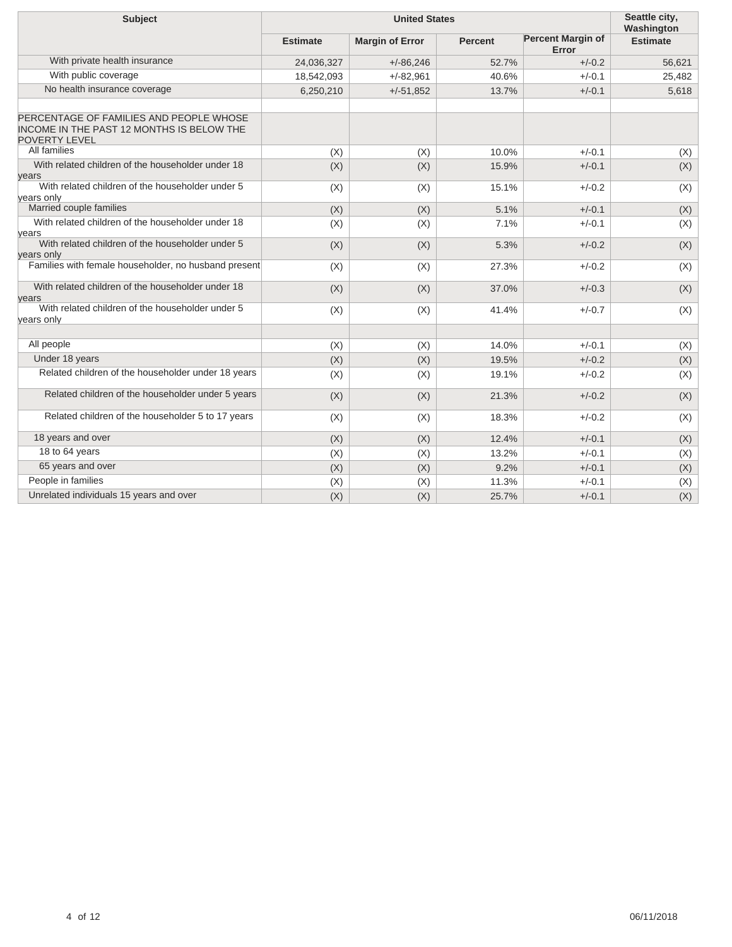| <b>Subject</b>                                                                                                      |                 | Seattle city,<br>Washington |                |                                   |                 |
|---------------------------------------------------------------------------------------------------------------------|-----------------|-----------------------------|----------------|-----------------------------------|-----------------|
|                                                                                                                     | <b>Estimate</b> | <b>Margin of Error</b>      | <b>Percent</b> | <b>Percent Margin of</b><br>Error | <b>Estimate</b> |
| With private health insurance                                                                                       | 24,036,327      | $+/-86,246$                 | 52.7%          | $+/-0.2$                          | 56,621          |
| With public coverage                                                                                                | 18,542,093      | $+/-82,961$                 | 40.6%          | $+/-0.1$                          | 25,482          |
| No health insurance coverage                                                                                        | 6,250,210       | $+/-51,852$                 | 13.7%          | $+/-0.1$                          | 5,618           |
| PERCENTAGE OF FAMILIES AND PEOPLE WHOSE<br><b>INCOME IN THE PAST 12 MONTHS IS BELOW THE</b><br><b>POVERTY LEVEL</b> |                 |                             |                |                                   |                 |
| All families                                                                                                        | (X)             | (X)                         | 10.0%          | $+/-0.1$                          | (X)             |
| With related children of the householder under 18<br>vears                                                          | (X)             | (X)                         | 15.9%          | $+/-0.1$                          | (X)             |
| With related children of the householder under 5<br>vears only                                                      | (X)             | (X)                         | 15.1%          | $+/-0.2$                          | (X)             |
| Married couple families                                                                                             | (X)             | (X)                         | 5.1%           | $+/-0.1$                          | (X)             |
| With related children of the householder under 18<br>vears                                                          | (X)             | (X)                         | 7.1%           | $+/-0.1$                          | (X)             |
| With related children of the householder under 5<br>vears only                                                      | (X)             | (X)                         | 5.3%           | $+/-0.2$                          | (X)             |
| Families with female householder, no husband present                                                                | (X)             | (X)                         | 27.3%          | $+/-0.2$                          | (X)             |
| With related children of the householder under 18<br>years                                                          | (X)             | (X)                         | 37.0%          | $+/-0.3$                          | (X)             |
| With related children of the householder under 5<br>years only                                                      | (X)             | (X)                         | 41.4%          | $+/-0.7$                          | (X)             |
|                                                                                                                     |                 |                             |                |                                   |                 |
| All people                                                                                                          | (X)             | (X)                         | 14.0%          | $+/-0.1$                          | (X)             |
| Under 18 years                                                                                                      | (X)             | (X)                         | 19.5%          | $+/-0.2$                          | (X)             |
| Related children of the householder under 18 years                                                                  | (X)             | (X)                         | 19.1%          | $+/-0.2$                          | (X)             |
| Related children of the householder under 5 years                                                                   | (X)             | (X)                         | 21.3%          | $+/-0.2$                          | (X)             |
| Related children of the householder 5 to 17 years                                                                   | (X)             | (X)                         | 18.3%          | $+/-0.2$                          | (X)             |
| 18 years and over                                                                                                   | (X)             | (X)                         | 12.4%          | $+/-0.1$                          | (X)             |
| 18 to 64 years                                                                                                      | (X)             | (X)                         | 13.2%          | $+/-0.1$                          | (X)             |
| 65 years and over                                                                                                   | (X)             | (X)                         | 9.2%           | $+/-0.1$                          | (X)             |
| People in families                                                                                                  | (X)             | (X)                         | 11.3%          | $+/-0.1$                          | (X)             |
| Unrelated individuals 15 years and over                                                                             | (X)             | (X)                         | 25.7%          | $+/-0.1$                          | (X)             |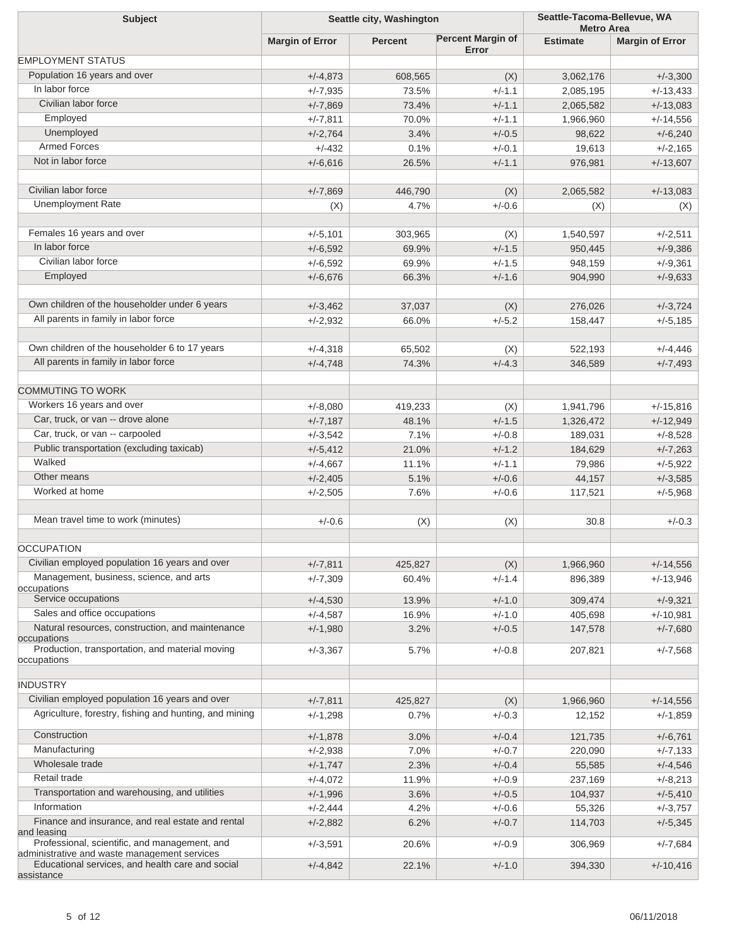| <b>Subject</b>                                                                                | Seattle city, Washington |                |                                   | Seattle-Tacoma-Bellevue, WA<br><b>Metro Area</b> |                        |
|-----------------------------------------------------------------------------------------------|--------------------------|----------------|-----------------------------------|--------------------------------------------------|------------------------|
|                                                                                               | <b>Margin of Error</b>   | <b>Percent</b> | <b>Percent Margin of</b><br>Error | <b>Estimate</b>                                  | <b>Margin of Error</b> |
| <b>EMPLOYMENT STATUS</b>                                                                      |                          |                |                                   |                                                  |                        |
| Population 16 years and over                                                                  | $+/-4,873$               | 608,565        | (X)                               | 3,062,176                                        | $+/-3,300$             |
| In labor force                                                                                | $+/-7,935$               | 73.5%          | $+/-1.1$                          | 2,085,195                                        | $+/-13,433$            |
| Civilian labor force                                                                          | $+/-7,869$               | 73.4%          | $+/-1.1$                          | 2,065,582                                        | $+/-13,083$            |
| Employed                                                                                      | $+/-7,811$               | 70.0%          | $+/-1.1$                          | 1,966,960                                        | $+/-14,556$            |
| Unemployed                                                                                    | $+/-2,764$               | 3.4%           | $+/-0.5$                          | 98,622                                           | $+/-6,240$             |
| <b>Armed Forces</b>                                                                           | $+/-432$                 | 0.1%           | $+/-0.1$                          | 19,613                                           | $+/-2,165$             |
| Not in labor force                                                                            | $+/-6,616$               | 26.5%          | $+/-1.1$                          | 976,981                                          | $+/-13,607$            |
|                                                                                               |                          |                |                                   |                                                  |                        |
| Civilian labor force                                                                          | $+/-7,869$               | 446,790        | (X)                               | 2,065,582                                        | $+/-13,083$            |
| <b>Unemployment Rate</b>                                                                      | (X)                      | 4.7%           | $+/-0.6$                          | (X)                                              | (X)                    |
|                                                                                               |                          |                |                                   |                                                  |                        |
| Females 16 years and over                                                                     | $+/-5,101$               | 303,965        | (X)                               | 1,540,597                                        | $+/-2,511$             |
| In labor force                                                                                | $+/-6,592$               | 69.9%          | $+/-1.5$                          | 950,445                                          | $+/-9,386$             |
| Civilian labor force                                                                          | $+/-6,592$               | 69.9%          | $+/-1.5$                          | 948,159                                          | $+/-9,361$             |
| Employed                                                                                      | $+/-6,676$               | 66.3%          | $+/-1.6$                          | 904,990                                          | $+/-9,633$             |
|                                                                                               |                          |                |                                   |                                                  |                        |
| Own children of the householder under 6 years                                                 | $+/-3,462$               | 37,037         | (X)                               | 276,026                                          | $+/-3,724$             |
| All parents in family in labor force                                                          | $+/-2,932$               | 66.0%          | $+/-5.2$                          | 158,447                                          | $+/-5,185$             |
|                                                                                               |                          |                |                                   |                                                  |                        |
| Own children of the householder 6 to 17 years                                                 | $+/-4,318$               | 65,502         | (X)                               | 522,193                                          | $+/-4,446$             |
| All parents in family in labor force                                                          | $+/-4,748$               | 74.3%          | $+/-4.3$                          | 346,589                                          | $+/-7,493$             |
|                                                                                               |                          |                |                                   |                                                  |                        |
| <b>COMMUTING TO WORK</b>                                                                      |                          |                |                                   |                                                  |                        |
| Workers 16 years and over                                                                     | $+/-8,080$               | 419,233        | (X)                               | 1,941,796                                        | $+/-15,816$            |
| Car, truck, or van -- drove alone                                                             | $+/-7,187$               | 48.1%          | $+/-1.5$                          | 1,326,472                                        | $+/-12,949$            |
| Car, truck, or van -- carpooled                                                               | $+/-3,542$               | 7.1%           | $+/-0.8$                          | 189,031                                          | $+/-8,528$             |
| Public transportation (excluding taxicab)                                                     | $+/-5,412$               | 21.0%          | $+/-1.2$                          | 184,629                                          | $+/-7,263$             |
| Walked                                                                                        | $+/-4,667$               | 11.1%          | $+/-1.1$                          | 79,986                                           | $+/-5,922$             |
| Other means                                                                                   | $+/-2,405$               | 5.1%           | $+/-0.6$                          | 44,157                                           | $+/-3,585$             |
| Worked at home                                                                                | $+/-2,505$               | 7.6%           | $+/-0.6$                          | 117,521                                          | $+/-5,968$             |
|                                                                                               |                          |                |                                   |                                                  |                        |
| Mean travel time to work (minutes)                                                            | $+/-0.6$                 | (X)            | (X)                               | 30.8                                             | $+/-0.3$               |
|                                                                                               |                          |                |                                   |                                                  |                        |
| <b>OCCUPATION</b>                                                                             |                          |                |                                   |                                                  |                        |
| Civilian employed population 16 years and over                                                | $+/-7,811$               | 425,827        | (X)                               | 1,966,960                                        | $+/-14,556$            |
| Management, business, science, and arts<br>occupations                                        | $+/-7,309$               | 60.4%          | $+/-1.4$                          | 896,389                                          | $+/-13,946$            |
| Service occupations                                                                           | $+/-4,530$               | 13.9%          | $+/-1.0$                          | 309,474                                          | $+/-9,321$             |
| Sales and office occupations                                                                  | $+/-4,587$               | 16.9%          | $+/-1.0$                          | 405,698                                          | $+/-10,981$            |
| Natural resources, construction, and maintenance                                              | $+/-1,980$               | 3.2%           | $+/-0.5$                          | 147,578                                          | $+/-7,680$             |
| occupations<br>Production, transportation, and material moving                                |                          | 5.7%           | $+/-0.8$                          |                                                  | $+/-7,568$             |
| occupations                                                                                   | $+/-3,367$               |                |                                   | 207,821                                          |                        |
| <b>INDUSTRY</b>                                                                               |                          |                |                                   |                                                  |                        |
| Civilian employed population 16 years and over                                                |                          |                |                                   |                                                  |                        |
| Agriculture, forestry, fishing and hunting, and mining                                        | $+/-7,811$               | 425,827        | (X)                               | 1,966,960                                        | $+/-14,556$            |
|                                                                                               | $+/-1,298$               | 0.7%           | $+/-0.3$                          | 12,152                                           | $+/-1,859$             |
| Construction                                                                                  | $+/-1,878$               | 3.0%           | $+/-0.4$                          | 121,735                                          | $+/-6,761$             |
| Manufacturing                                                                                 | $+/-2,938$               | 7.0%           | $+/-0.7$                          | 220,090                                          | $+/-7,133$             |
| Wholesale trade                                                                               | $+/-1,747$               | 2.3%           | $+/-0.4$                          | 55,585                                           | $+/-4,546$             |
| Retail trade                                                                                  | $+/-4,072$               | 11.9%          | $+/-0.9$                          | 237,169                                          | $+/-8,213$             |
| Transportation and warehousing, and utilities                                                 | $+/-1,996$               | 3.6%           | $+/-0.5$                          | 104,937                                          | $+/-5,410$             |
| Information                                                                                   | $+/-2,444$               | 4.2%           | $+/-0.6$                          | 55,326                                           | $+/-3,757$             |
| Finance and insurance, and real estate and rental<br>and leasing                              | $+/-2,882$               | 6.2%           | $+/-0.7$                          | 114,703                                          | $+/-5,345$             |
| Professional, scientific, and management, and<br>administrative and waste management services | $+/-3,591$               | 20.6%          | $+/-0.9$                          | 306,969                                          | $+/-7,684$             |
| Educational services, and health care and social<br>assistance                                | $+/-4,842$               | 22.1%          | $+/-1.0$                          | 394,330                                          | $+/-10,416$            |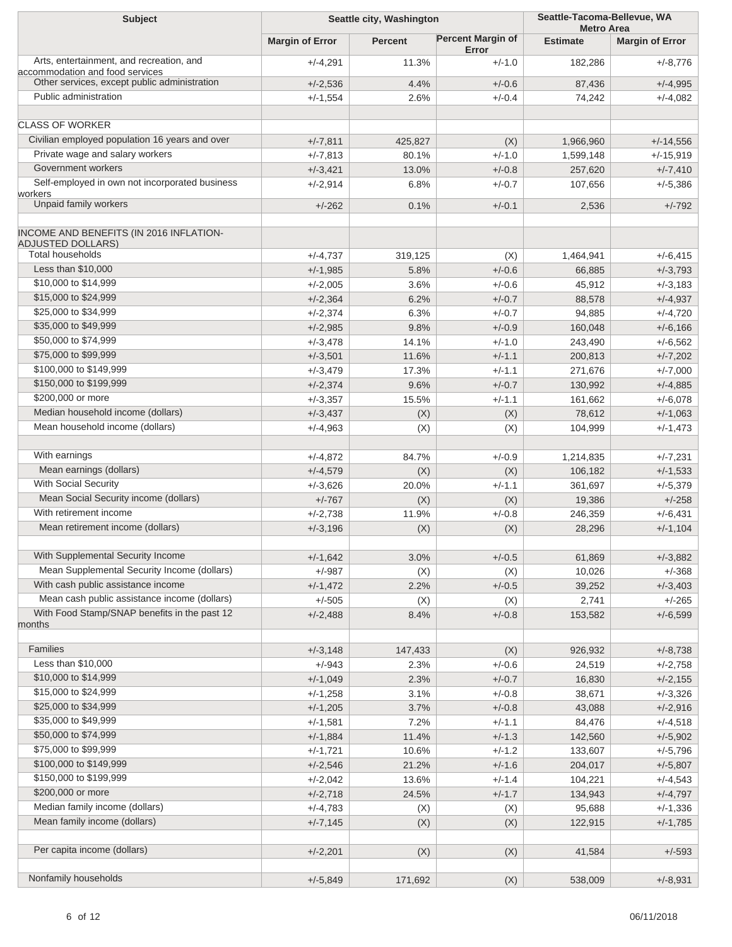| <b>Subject</b><br>Seattle city, Washington                                  |                        | Seattle-Tacoma-Bellevue, WA<br><b>Metro Area</b> |                                   |                 |                        |
|-----------------------------------------------------------------------------|------------------------|--------------------------------------------------|-----------------------------------|-----------------|------------------------|
|                                                                             | <b>Margin of Error</b> | <b>Percent</b>                                   | <b>Percent Margin of</b><br>Error | <b>Estimate</b> | <b>Margin of Error</b> |
| Arts, entertainment, and recreation, and<br>accommodation and food services | $+/-4,291$             | 11.3%                                            | $+/-1.0$                          | 182,286         | $+/-8,776$             |
| Other services, except public administration                                | $+/-2,536$             | 4.4%                                             | $+/-0.6$                          | 87,436          | $+/-4,995$             |
| Public administration                                                       | $+/-1,554$             | 2.6%                                             | $+/-0.4$                          | 74,242          | $+/-4,082$             |
| <b>CLASS OF WORKER</b>                                                      |                        |                                                  |                                   |                 |                        |
| Civilian employed population 16 years and over                              | $+/-7,811$             | 425,827                                          | (X)                               | 1,966,960       | $+/-14,556$            |
| Private wage and salary workers                                             | $+/-7,813$             | 80.1%                                            | $+/-1.0$                          | 1,599,148       | $+/-15,919$            |
| Government workers                                                          | $+/-3,421$             | 13.0%                                            | $+/-0.8$                          | 257,620         | $+/-7,410$             |
| Self-employed in own not incorporated business                              | $+/-2,914$             | 6.8%                                             | $+/-0.7$                          | 107,656         | $+/-5,386$             |
| workers                                                                     |                        |                                                  |                                   |                 |                        |
| Unpaid family workers                                                       | $+/-262$               | 0.1%                                             | $+/-0.1$                          | 2,536           | $+/-792$               |
| INCOME AND BENEFITS (IN 2016 INFLATION-<br><b>ADJUSTED DOLLARS)</b>         |                        |                                                  |                                   |                 |                        |
| <b>Total households</b>                                                     | $+/-4,737$             | 319,125                                          | (X)                               | 1,464,941       | $+/-6,415$             |
| Less than \$10,000                                                          | $+/-1,985$             | 5.8%                                             | $+/-0.6$                          | 66,885          | $+/-3,793$             |
| \$10,000 to \$14,999                                                        | $+/-2,005$             | 3.6%                                             | $+/-0.6$                          | 45,912          | $+/-3,183$             |
| \$15,000 to \$24,999                                                        | $+/-2,364$             | 6.2%                                             | $+/-0.7$                          | 88,578          | $+/-4,937$             |
| \$25,000 to \$34,999                                                        | $+/-2,374$             | 6.3%                                             | $+/-0.7$                          | 94,885          | $+/-4,720$             |
| \$35,000 to \$49,999                                                        | $+/-2,985$             | 9.8%                                             | $+/-0.9$                          | 160,048         | $+/-6,166$             |
| \$50,000 to \$74,999                                                        | $+/-3,478$             | 14.1%                                            | $+/-1.0$                          | 243,490         | $+/-6,562$             |
| \$75,000 to \$99,999                                                        | $+/-3,501$             | 11.6%                                            | $+/-1.1$                          | 200,813         | $+/-7,202$             |
| \$100,000 to \$149,999                                                      | $+/-3,479$             | 17.3%                                            | $+/-1.1$                          | 271,676         | $+/-7,000$             |
| \$150,000 to \$199,999                                                      | $+/-2,374$             | 9.6%                                             | $+/-0.7$                          | 130,992         | $+/-4,885$             |
| \$200,000 or more                                                           | $+/-3,357$             | 15.5%                                            | $+/-1.1$                          | 161,662         | $+/-6,078$             |
| Median household income (dollars)                                           | $+/-3,437$             | (X)                                              | (X)                               | 78,612          | $+/-1,063$             |
| Mean household income (dollars)                                             | $+/-4,963$             | (X)                                              | (X)                               | 104,999         | $+/-1,473$             |
| With earnings                                                               | $+/-4,872$             | 84.7%                                            | $+/-0.9$                          | 1,214,835       | $+/-7,231$             |
| Mean earnings (dollars)                                                     | $+/-4,579$             | (X)                                              | (X)                               | 106,182         | $+/-1,533$             |
| With Social Security                                                        | $+/-3,626$             | 20.0%                                            | $+/-1.1$                          | 361,697         | $+/-5,379$             |
| Mean Social Security income (dollars)                                       | $+/-767$               | (X)                                              | (X)                               | 19,386          | $+/-258$               |
| With retirement income                                                      | $+/-2,738$             | 11.9%                                            | $+/-0.8$                          | 246,359         | $+/-6,431$             |
| Mean retirement income (dollars)                                            | $+/-3,196$             | (X)                                              | (X)                               | 28,296          | $+/-1,104$             |
| With Supplemental Security Income                                           | $+/-1,642$             | 3.0%                                             | $+/-0.5$                          | 61,869          | $+/-3,882$             |
| Mean Supplemental Security Income (dollars)                                 | $+/-987$               | (X)                                              | (X)                               | 10,026          | +/-368                 |
| With cash public assistance income                                          | $+/-1,472$             | 2.2%                                             | $+/-0.5$                          | 39,252          | $+/-3,403$             |
| Mean cash public assistance income (dollars)                                | $+/-505$               | (X)                                              | (X)                               | 2,741           | $+/-265$               |
| With Food Stamp/SNAP benefits in the past 12<br>months                      | $+/-2,488$             | 8.4%                                             | $+/-0.8$                          | 153,582         | $+/-6,599$             |
| Families                                                                    | $+/-3,148$             | 147,433                                          | (X)                               | 926,932         | $+/-8,738$             |
| Less than \$10,000                                                          | $+/-943$               | 2.3%                                             | $+/-0.6$                          | 24,519          | $+/-2,758$             |
| \$10,000 to \$14,999                                                        | $+/-1,049$             | 2.3%                                             | $+/-0.7$                          | 16,830          | $+/-2,155$             |
| \$15,000 to \$24,999                                                        | $+/-1,258$             | 3.1%                                             | $+/-0.8$                          | 38,671          | $+/-3,326$             |
| \$25,000 to \$34,999                                                        | $+/-1,205$             | 3.7%                                             | $+/-0.8$                          | 43,088          | $+/-2,916$             |
| \$35,000 to \$49,999                                                        | $+/-1,581$             | 7.2%                                             | $+/-1.1$                          | 84,476          | $+/-4,518$             |
| \$50,000 to \$74,999                                                        | $+/-1,884$             | 11.4%                                            | $+/-1.3$                          | 142,560         | $+/-5,902$             |
| \$75,000 to \$99,999                                                        | $+/-1,721$             | 10.6%                                            | $+/-1.2$                          | 133,607         | $+/-5,796$             |
| \$100,000 to \$149,999                                                      | $+/-2,546$             | 21.2%                                            | $+/-1.6$                          | 204,017         | $+/-5,807$             |
| \$150,000 to \$199,999                                                      | $+/-2,042$             | 13.6%                                            | $+/-1.4$                          | 104,221         | $+/-4,543$             |
| \$200,000 or more                                                           | $+/-2,718$             | 24.5%                                            | $+/-1.7$                          | 134,943         | $+/-4,797$             |
| Median family income (dollars)                                              | $+/-4,783$             | (X)                                              | (X)                               | 95,688          | $+/-1,336$             |
| Mean family income (dollars)                                                | $+/-7,145$             | (X)                                              | (X)                               | 122,915         | $+/-1,785$             |
| Per capita income (dollars)                                                 | $+/-2,201$             | (X)                                              | (X)                               | 41,584          | $+/-593$               |
| Nonfamily households                                                        | $+/-5,849$             | 171,692                                          | (X)                               | 538,009         | $+/-8,931$             |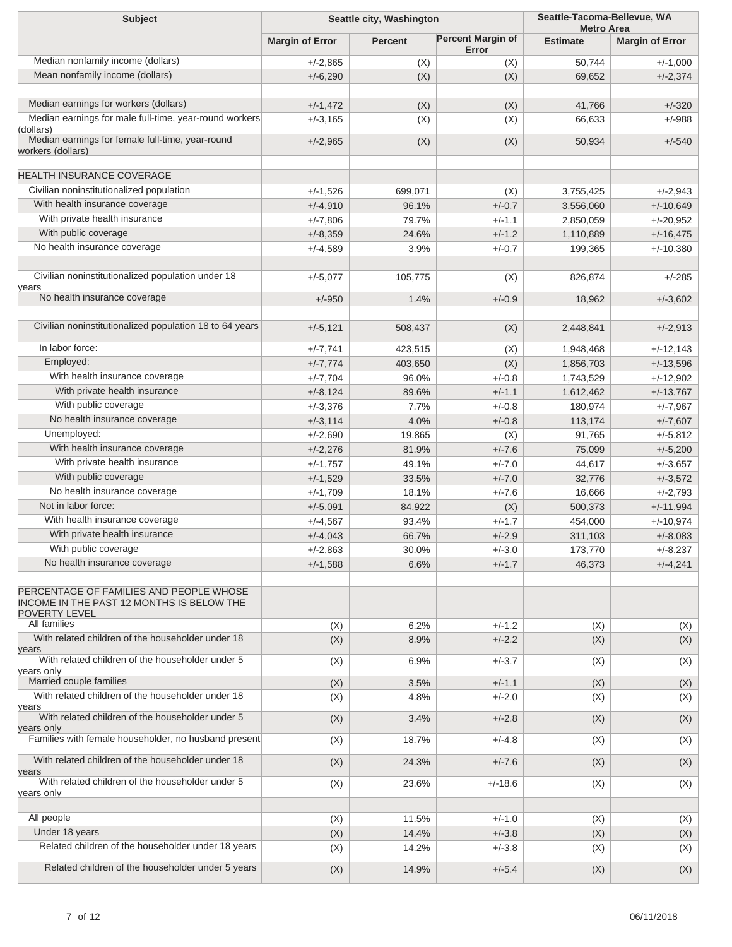| <b>Subject</b>                                                                                                 | Seattle city, Washington |                | Seattle-Tacoma-Bellevue, WA<br><b>Metro Area</b> |                 |                        |
|----------------------------------------------------------------------------------------------------------------|--------------------------|----------------|--------------------------------------------------|-----------------|------------------------|
|                                                                                                                | <b>Margin of Error</b>   | <b>Percent</b> | <b>Percent Margin of</b><br>Error                | <b>Estimate</b> | <b>Margin of Error</b> |
| Median nonfamily income (dollars)                                                                              | $+/-2,865$               | (X)            | (X)                                              | 50,744          | $+/-1,000$             |
| Mean nonfamily income (dollars)                                                                                | $+/-6,290$               | (X)            | (X)                                              | 69,652          | $+/-2,374$             |
| Median earnings for workers (dollars)                                                                          | $+/-1,472$               | (X)            | (X)                                              | 41,766          | $+/-320$               |
| Median earnings for male full-time, year-round workers                                                         | $+/-3,165$               | (X)            | (X)                                              | 66,633          | $+/-988$               |
| (dollars)                                                                                                      |                          |                |                                                  |                 |                        |
| Median earnings for female full-time, year-round<br>workers (dollars)                                          | $+/-2,965$               | (X)            | (X)                                              | 50,934          | $+/-540$               |
| <b>HEALTH INSURANCE COVERAGE</b>                                                                               |                          |                |                                                  |                 |                        |
| Civilian noninstitutionalized population                                                                       | $+/-1,526$               | 699,071        | (X)                                              | 3,755,425       | $+/-2,943$             |
| With health insurance coverage                                                                                 | $+/-4,910$               | 96.1%          | $+/-0.7$                                         | 3,556,060       | $+/-10,649$            |
| With private health insurance                                                                                  | $+/-7,806$               | 79.7%          | $+/-1.1$                                         | 2,850,059       | $+/-20,952$            |
| With public coverage                                                                                           | $+/-8,359$               | 24.6%          | $+/-1.2$                                         | 1,110,889       | $+/-16,475$            |
| No health insurance coverage                                                                                   | $+/-4,589$               | 3.9%           | $+/-0.7$                                         | 199,365         | $+/-10,380$            |
| Civilian noninstitutionalized population under 18<br>years                                                     | $+/-5,077$               | 105,775        | (X)                                              | 826,874         | $+/-285$               |
| No health insurance coverage                                                                                   | $+/-950$                 | 1.4%           | $+/-0.9$                                         | 18,962          | $+/-3,602$             |
| Civilian noninstitutionalized population 18 to 64 years                                                        | $+/-5,121$               | 508,437        | (X)                                              | 2,448,841       | $+/-2,913$             |
| In labor force:                                                                                                | $+/-7,741$               | 423,515        | (X)                                              | 1,948,468       | $+/-12,143$            |
| Employed:                                                                                                      | $+/-7,774$               | 403,650        | (X)                                              | 1,856,703       | $+/-13,596$            |
| With health insurance coverage                                                                                 | $+/-7,704$               | 96.0%          | $+/-0.8$                                         | 1,743,529       | $+/-12,902$            |
| With private health insurance                                                                                  | $+/-8,124$               | 89.6%          | $+/-1.1$                                         | 1,612,462       | $+/-13,767$            |
| With public coverage                                                                                           | $+/-3,376$               | 7.7%           | $+/-0.8$                                         | 180,974         | $+/-7,967$             |
| No health insurance coverage                                                                                   | $+/-3,114$               | 4.0%           | $+/-0.8$                                         | 113,174         | $+/-7,607$             |
| Unemployed:                                                                                                    | $+/-2,690$               | 19,865         | (X)                                              | 91,765          | $+/-5,812$             |
| With health insurance coverage                                                                                 | $+/-2,276$               | 81.9%          | $+/-7.6$                                         | 75,099          | $+/-5,200$             |
| With private health insurance                                                                                  | $+/-1,757$               | 49.1%          | $+/-7.0$                                         | 44,617          | $+/-3,657$             |
| With public coverage                                                                                           | $+/-1,529$               | 33.5%          | $+/-7.0$                                         | 32,776          | $+/-3,572$             |
| No health insurance coverage                                                                                   | $+/-1,709$               | 18.1%          | $+/-7.6$                                         | 16,666          | $+/-2,793$             |
| Not in labor force:                                                                                            | $+/-5,091$               | 84,922         | (X)                                              | 500,373         | $+/-11,994$            |
| With health insurance coverage                                                                                 | $+/-4,567$               | 93.4%          | $+/-1.7$                                         | 454,000         | $+/-10,974$            |
| With private health insurance                                                                                  | $+/-4,043$               | 66.7%          | $+/-2.9$                                         | 311,103         | $+/-8,083$             |
| With public coverage                                                                                           | $+/-2,863$               | 30.0%          | $+/-3.0$                                         | 173,770         | $+/-8,237$             |
| No health insurance coverage                                                                                   | $+/-1,588$               | 6.6%           | $+/-1.7$                                         | 46,373          | $+/-4,241$             |
| PERCENTAGE OF FAMILIES AND PEOPLE WHOSE<br>INCOME IN THE PAST 12 MONTHS IS BELOW THE<br>POVERTY LEVEL          |                          |                |                                                  |                 |                        |
| All families                                                                                                   | (X)                      | 6.2%           | $+/-1.2$                                         | (X)             | (X)                    |
| With related children of the householder under 18<br>years<br>With related children of the householder under 5 | (X)                      | 8.9%           | $+/-2.2$                                         | (X)             | (X)                    |
| years only                                                                                                     | (X)                      | 6.9%           | $+/-3.7$                                         | (X)             | (X)                    |
| Married couple families                                                                                        | (X)                      | 3.5%           | $+/-1.1$                                         | (X)             | (X)                    |
| With related children of the householder under 18<br>years                                                     | (X)                      | 4.8%           | $+/-2.0$                                         | (X)             | (X)                    |
| With related children of the householder under 5<br>years only                                                 | (X)                      | 3.4%           | $+/-2.8$                                         | (X)             | (X)                    |
| Families with female householder, no husband present                                                           | (X)                      | 18.7%          | $+/-4.8$                                         | (X)             | (X)                    |
| With related children of the householder under 18<br>years                                                     | (X)                      | 24.3%          | $+/-7.6$                                         | (X)             | (X)                    |
| With related children of the householder under 5<br>years only                                                 | (X)                      | 23.6%          | $+/-18.6$                                        | (X)             | (X)                    |
| All people                                                                                                     | (X)                      | 11.5%          | $+/-1.0$                                         | (X)             | (X)                    |
| Under 18 years                                                                                                 | (X)                      | 14.4%          | $+/-3.8$                                         | (X)             | (X)                    |
| Related children of the householder under 18 years                                                             | (X)                      | 14.2%          | $+/-3.8$                                         | (X)             | (X)                    |
| Related children of the householder under 5 years                                                              | (X)                      | 14.9%          | $+/-5.4$                                         | (X)             | (X)                    |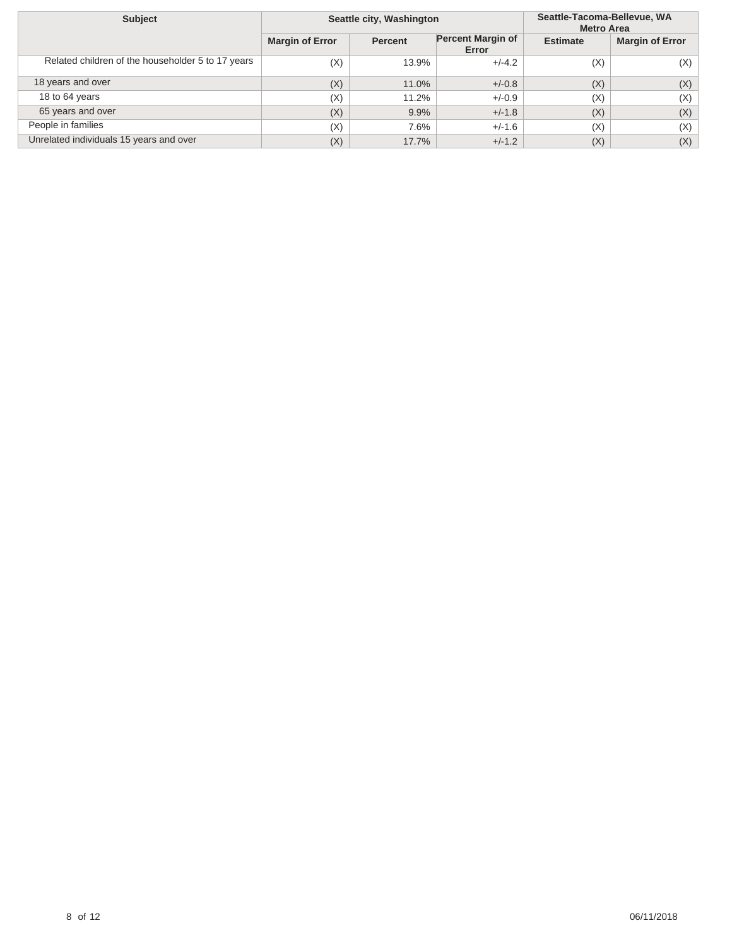| <b>Subject</b>                                    | Seattle city, Washington |                |                                   | Seattle-Tacoma-Bellevue, WA<br><b>Metro Area</b> |                        |  |
|---------------------------------------------------|--------------------------|----------------|-----------------------------------|--------------------------------------------------|------------------------|--|
|                                                   | <b>Margin of Error</b>   | <b>Percent</b> | <b>Percent Margin of</b><br>Error | <b>Estimate</b>                                  | <b>Margin of Error</b> |  |
| Related children of the householder 5 to 17 years | (X)                      | 13.9%          | $+/-4.2$                          | (X)                                              | (X)                    |  |
| 18 years and over                                 | (X)                      | 11.0%          | $+/-0.8$                          | (X)                                              | (X)                    |  |
| 18 to 64 years                                    | (X)                      | 11.2%          | $+/-0.9$                          | (X)                                              | (X)                    |  |
| 65 years and over                                 | (X)                      | 9.9%           | $+/-1.8$                          | (X)                                              | (X)                    |  |
| People in families                                | (X)                      | 7.6%           | $+/-1.6$                          | (X)                                              | (X)                    |  |
| Unrelated individuals 15 years and over           | (X)                      | 17.7%          | $+/-1.2$                          | (X)                                              | (X)                    |  |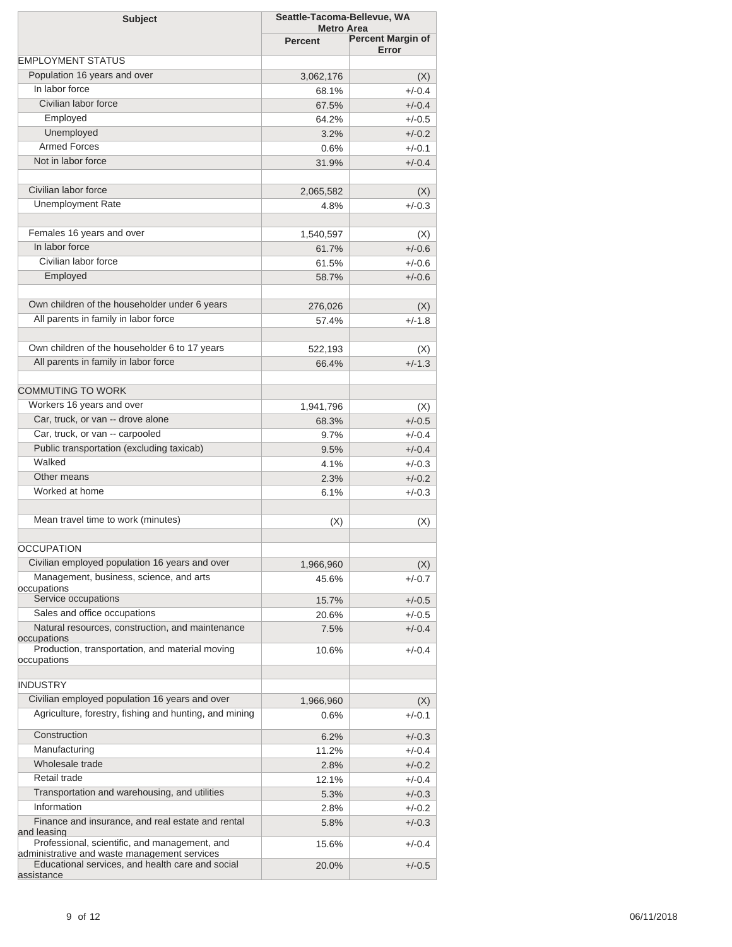| <b>Subject</b>                                                                                   | Seattle-Tacoma-Bellevue, WA         |                          |
|--------------------------------------------------------------------------------------------------|-------------------------------------|--------------------------|
|                                                                                                  | <b>Metro Area</b><br><b>Percent</b> | <b>Percent Margin of</b> |
|                                                                                                  |                                     | Error                    |
| <b>EMPLOYMENT STATUS</b>                                                                         |                                     |                          |
| Population 16 years and over                                                                     | 3,062,176                           | (X)                      |
| In labor force                                                                                   | 68.1%                               | $+/-0.4$                 |
| Civilian labor force                                                                             | 67.5%                               | $+/-0.4$                 |
| Employed                                                                                         | 64.2%                               | $+/-0.5$                 |
| Unemployed                                                                                       | 3.2%                                | $+/-0.2$                 |
| <b>Armed Forces</b>                                                                              | 0.6%                                | $+/-0.1$                 |
| Not in labor force                                                                               | 31.9%                               | $+/-0.4$                 |
| Civilian labor force                                                                             | 2,065,582                           | (X)                      |
| <b>Unemployment Rate</b>                                                                         | 4.8%                                | $+/-0.3$                 |
|                                                                                                  |                                     |                          |
| Females 16 years and over                                                                        | 1,540,597                           | (X)                      |
| In labor force                                                                                   | 61.7%                               | $+/-0.6$                 |
| Civilian labor force                                                                             | 61.5%                               | $+/-0.6$                 |
| Employed                                                                                         | 58.7%                               | $+/-0.6$                 |
|                                                                                                  |                                     |                          |
| Own children of the householder under 6 years                                                    | 276,026                             | (X)                      |
| All parents in family in labor force                                                             | 57.4%                               | $+/-1.8$                 |
|                                                                                                  |                                     |                          |
| Own children of the householder 6 to 17 years                                                    | 522,193                             | (X)                      |
| All parents in family in labor force                                                             | 66.4%                               | $+/-1.3$                 |
|                                                                                                  |                                     |                          |
| <b>COMMUTING TO WORK</b>                                                                         |                                     |                          |
| Workers 16 years and over                                                                        | 1,941,796                           | (X)                      |
| Car, truck, or van -- drove alone                                                                | 68.3%                               | $+/-0.5$                 |
| Car, truck, or van -- carpooled                                                                  | 9.7%                                | $+/-0.4$                 |
| Public transportation (excluding taxicab)                                                        | 9.5%                                | $+/-0.4$                 |
| Walked                                                                                           | 4.1%                                | $+/-0.3$                 |
| Other means                                                                                      | 2.3%                                | $+/-0.2$                 |
| Worked at home                                                                                   | 6.1%                                | $+/-0.3$                 |
|                                                                                                  |                                     |                          |
| Mean travel time to work (minutes)                                                               | (X)                                 | (X)                      |
| <b>OCCUPATION</b>                                                                                |                                     |                          |
| Civilian employed population 16 years and over                                                   |                                     |                          |
| Management, business, science, and arts                                                          | 1,966,960                           | (X)                      |
| occupations                                                                                      | 45.6%                               | $+/-0.7$                 |
| Service occupations                                                                              | 15.7%                               | $+/-0.5$                 |
| Sales and office occupations                                                                     | 20.6%                               | $+/-0.5$                 |
| Natural resources, construction, and maintenance                                                 | 7.5%                                | $+/-0.4$                 |
| occupations<br>Production, transportation, and material moving                                   | 10.6%                               | $+/-0.4$                 |
| occupations                                                                                      |                                     |                          |
| <b>INDUSTRY</b>                                                                                  |                                     |                          |
| Civilian employed population 16 years and over                                                   | 1,966,960                           | (X)                      |
| Agriculture, forestry, fishing and hunting, and mining                                           | $0.6\%$                             | $+/-0.1$                 |
| Construction                                                                                     | 6.2%                                | $+/-0.3$                 |
| Manufacturing                                                                                    | 11.2%                               | $+/-0.4$                 |
| Wholesale trade                                                                                  | 2.8%                                | $+/-0.2$                 |
| Retail trade                                                                                     | 12.1%                               | $+/-0.4$                 |
| Transportation and warehousing, and utilities                                                    | 5.3%                                | $+/-0.3$                 |
| Information                                                                                      | 2.8%                                | $+/-0.2$                 |
| Finance and insurance, and real estate and rental                                                | 5.8%                                | $+/-0.3$                 |
| and leasing<br>Professional, scientific, and management, and                                     | 15.6%                               | $+/-0.4$                 |
| administrative and waste management services<br>Educational services, and health care and social | 20.0%                               | $+/-0.5$                 |
| assistance                                                                                       |                                     |                          |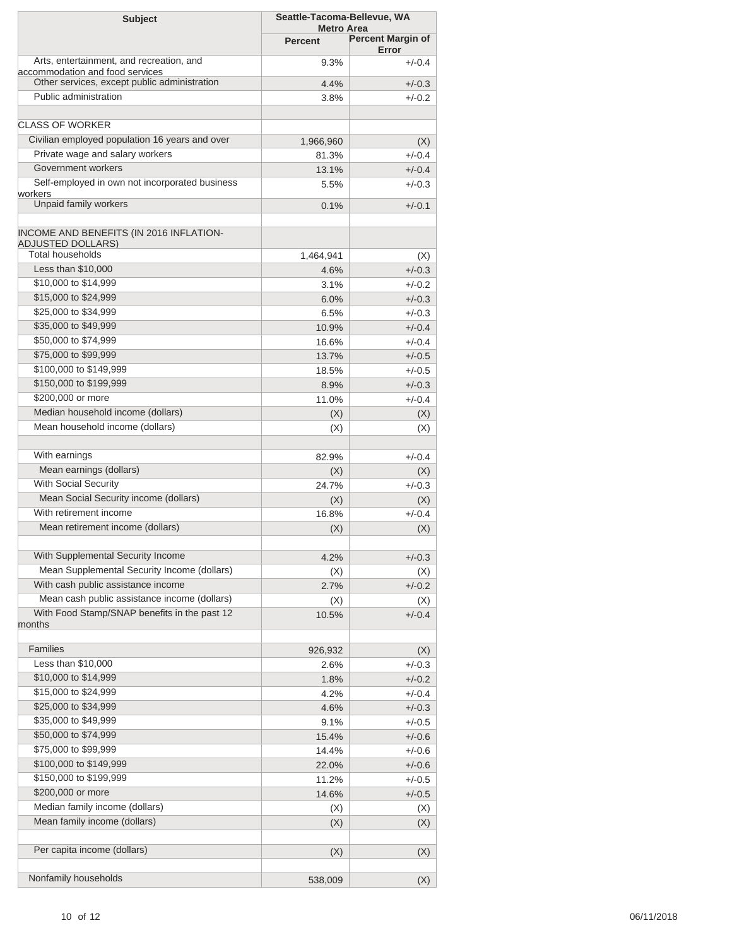| <b>Subject</b>                                                              | Seattle-Tacoma-Bellevue, WA         |                          |  |  |
|-----------------------------------------------------------------------------|-------------------------------------|--------------------------|--|--|
|                                                                             | <b>Metro Area</b><br><b>Percent</b> | <b>Percent Margin of</b> |  |  |
|                                                                             |                                     | Error                    |  |  |
| Arts, entertainment, and recreation, and<br>accommodation and food services | 9.3%                                | $+/-0.4$                 |  |  |
| Other services, except public administration                                | 4.4%                                | $+/-0.3$                 |  |  |
| Public administration                                                       | 3.8%                                | $+/-0.2$                 |  |  |
| <b>CLASS OF WORKER</b>                                                      |                                     |                          |  |  |
| Civilian employed population 16 years and over                              | 1,966,960                           | (X)                      |  |  |
| Private wage and salary workers                                             | 81.3%                               | $+/-0.4$                 |  |  |
| Government workers                                                          | 13.1%                               | $+/-0.4$                 |  |  |
| Self-employed in own not incorporated business                              | 5.5%                                | $+/-0.3$                 |  |  |
| workers                                                                     |                                     |                          |  |  |
| Unpaid family workers                                                       | 0.1%                                | $+/-0.1$                 |  |  |
| INCOME AND BENEFITS (IN 2016 INFLATION-<br><b>ADJUSTED DOLLARS)</b>         |                                     |                          |  |  |
| Total households                                                            | 1,464,941                           | (X)                      |  |  |
| Less than \$10,000                                                          | 4.6%                                | $+/-0.3$                 |  |  |
| \$10,000 to \$14,999                                                        | 3.1%                                | $+/-0.2$                 |  |  |
| \$15,000 to \$24,999                                                        | 6.0%                                | $+/-0.3$                 |  |  |
| \$25,000 to \$34,999                                                        | 6.5%                                | $+/-0.3$                 |  |  |
| \$35,000 to \$49,999                                                        | 10.9%                               | $+/-0.4$                 |  |  |
| \$50,000 to \$74,999                                                        | 16.6%                               | $+/-0.4$                 |  |  |
| \$75,000 to \$99,999                                                        | 13.7%                               | $+/-0.5$                 |  |  |
| \$100,000 to \$149,999                                                      | 18.5%                               | $+/-0.5$                 |  |  |
| \$150,000 to \$199,999                                                      | 8.9%                                | $+/-0.3$                 |  |  |
| \$200,000 or more                                                           | 11.0%                               | $+/-0.4$                 |  |  |
| Median household income (dollars)                                           | (X)                                 | (X)                      |  |  |
| Mean household income (dollars)                                             | (X)                                 | (X)                      |  |  |
| With earnings                                                               | 82.9%                               | $+/-0.4$                 |  |  |
| Mean earnings (dollars)                                                     | (X)                                 | (X)                      |  |  |
| With Social Security                                                        | 24.7%                               | $+/-0.3$                 |  |  |
| Mean Social Security income (dollars)                                       | (X)                                 | (X)                      |  |  |
| With retirement income                                                      | 16.8%                               | $+/-0.4$                 |  |  |
| Mean retirement income (dollars)                                            | (X)                                 | (X)                      |  |  |
|                                                                             |                                     |                          |  |  |
| With Supplemental Security Income                                           | 4.2%                                | $+/-0.3$                 |  |  |
| Mean Supplemental Security Income (dollars)                                 | (X)                                 | (X)                      |  |  |
| With cash public assistance income                                          | 2.7%                                | $+/-0.2$                 |  |  |
| Mean cash public assistance income (dollars)                                | (X)                                 | (X)                      |  |  |
| With Food Stamp/SNAP benefits in the past 12<br>months                      | 10.5%                               | $+/-0.4$                 |  |  |
| Families                                                                    | 926,932                             | (X)                      |  |  |
| Less than \$10,000                                                          | 2.6%                                | $+/-0.3$                 |  |  |
| \$10,000 to \$14,999                                                        | 1.8%                                | $+/-0.2$                 |  |  |
| \$15,000 to \$24,999                                                        | 4.2%                                | $+/-0.4$                 |  |  |
| \$25,000 to \$34,999                                                        | 4.6%                                | $+/-0.3$                 |  |  |
| \$35,000 to \$49,999                                                        | 9.1%                                | $+/-0.5$                 |  |  |
| \$50,000 to \$74,999                                                        | 15.4%                               | $+/-0.6$                 |  |  |
| \$75,000 to \$99,999                                                        | 14.4%                               | $+/-0.6$                 |  |  |
| \$100,000 to \$149,999                                                      | 22.0%                               | $+/-0.6$                 |  |  |
| \$150,000 to \$199,999                                                      | 11.2%                               | $+/-0.5$                 |  |  |
| \$200,000 or more                                                           | 14.6%                               | $+/-0.5$                 |  |  |
| Median family income (dollars)                                              | (X)                                 | (X)                      |  |  |
| Mean family income (dollars)                                                | (X)                                 | (X)                      |  |  |
| Per capita income (dollars)                                                 | (X)                                 | (X)                      |  |  |
|                                                                             |                                     |                          |  |  |
| Nonfamily households                                                        | 538,009                             | (X)                      |  |  |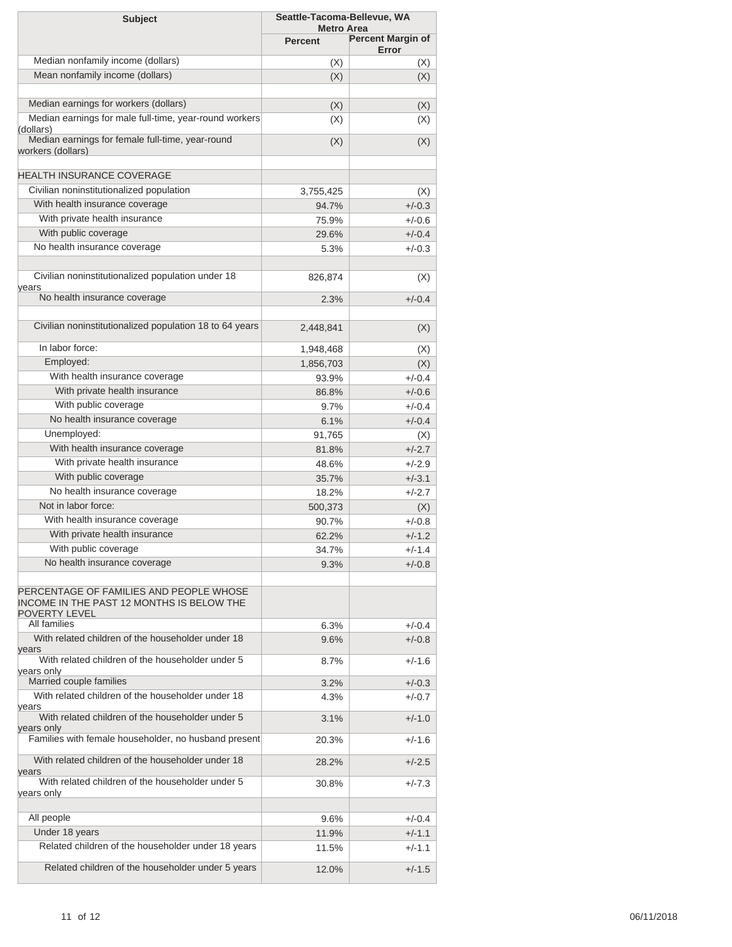| <b>Metro Area</b><br><b>Percent Margin of</b><br><b>Percent</b><br>Error<br>Median nonfamily income (dollars)<br>(X)<br>(X)<br>Mean nonfamily income (dollars)<br>(X)<br>(X)<br>Median earnings for workers (dollars)<br>(X)<br>(X)<br>Median earnings for male full-time, year-round workers<br>(X)<br>(X)<br>(dollars)<br>Median earnings for female full-time, year-round<br>(X)<br>(X)<br>Civilian noninstitutionalized population<br>3,755,425<br>(X)<br>With health insurance coverage<br>$+/-0.3$<br>94.7%<br>With private health insurance<br>75.9%<br>$+/-0.6$<br>With public coverage<br>29.6%<br>$+/-0.4$<br>No health insurance coverage<br>5.3%<br>$+/-0.3$<br>Civilian noninstitutionalized population under 18<br>826,874<br>(X)<br>No health insurance coverage<br>$+/-0.4$<br>2.3%<br>Civilian noninstitutionalized population 18 to 64 years<br>2,448,841<br>(X)<br>In labor force:<br>1,948,468<br>(X)<br>Employed:<br>(X)<br>1,856,703<br>With health insurance coverage<br>$+/-0.4$<br>93.9%<br>With private health insurance<br>86.8%<br>$+/-0.6$<br>With public coverage<br>9.7%<br>$+/-0.4$<br>No health insurance coverage<br>6.1%<br>$+/-0.4$<br>Unemployed:<br>91,765<br>(X)<br>With health insurance coverage<br>$+/-2.7$<br>81.8%<br>With private health insurance<br>48.6%<br>$+/-2.9$<br>With public coverage<br>35.7%<br>$+/-3.1$<br>No health insurance coverage<br>18.2%<br>$+/-2.7$<br>Not in labor force:<br>500,373<br>(X)<br>With health insurance coverage<br>90.7%<br>$+/-0.8$<br>With private health insurance<br>$+/-1.2$<br>62.2%<br>With public coverage<br>34.7%<br>+/-1.4<br>No health insurance coverage<br>9.3%<br>$+/-0.8$<br>All families<br>6.3%<br>$+/-0.4$<br>With related children of the householder under 18<br>9.6%<br>$+/-0.8$<br>With related children of the householder under 5<br>8.7%<br>$+/-1.6$<br>Married couple families<br>3.2%<br>$+/-0.3$<br>With related children of the householder under 18<br>4.3%<br>$+/-0.7$<br>With related children of the householder under 5<br>3.1%<br>$+/-1.0$<br>Families with female householder, no husband present<br>20.3%<br>$+/-1.6$<br>With related children of the householder under 18<br>28.2%<br>$+/-2.5$<br>With related children of the householder under 5<br>30.8%<br>$+/-7.3$<br>All people<br>9.6%<br>$+/-0.4$<br>Under 18 years<br>11.9%<br>$+/-1.1$<br>Related children of the householder under 18 years<br>11.5%<br>$+/-1.1$<br>Related children of the householder under 5 years<br>12.0%<br>$+/-1.5$ | <b>Subject</b>                                                                                        | Seattle-Tacoma-Bellevue, WA |  |
|--------------------------------------------------------------------------------------------------------------------------------------------------------------------------------------------------------------------------------------------------------------------------------------------------------------------------------------------------------------------------------------------------------------------------------------------------------------------------------------------------------------------------------------------------------------------------------------------------------------------------------------------------------------------------------------------------------------------------------------------------------------------------------------------------------------------------------------------------------------------------------------------------------------------------------------------------------------------------------------------------------------------------------------------------------------------------------------------------------------------------------------------------------------------------------------------------------------------------------------------------------------------------------------------------------------------------------------------------------------------------------------------------------------------------------------------------------------------------------------------------------------------------------------------------------------------------------------------------------------------------------------------------------------------------------------------------------------------------------------------------------------------------------------------------------------------------------------------------------------------------------------------------------------------------------------------------------------------------------------------------------------------------------------------------------------------------------------------------------------------------------------------------------------------------------------------------------------------------------------------------------------------------------------------------------------------------------------------------------------------------------------------------------------------------------------------------------------------------------------------------------------------------------|-------------------------------------------------------------------------------------------------------|-----------------------------|--|
|                                                                                                                                                                                                                                                                                                                                                                                                                                                                                                                                                                                                                                                                                                                                                                                                                                                                                                                                                                                                                                                                                                                                                                                                                                                                                                                                                                                                                                                                                                                                                                                                                                                                                                                                                                                                                                                                                                                                                                                                                                                                                                                                                                                                                                                                                                                                                                                                                                                                                                                                |                                                                                                       |                             |  |
|                                                                                                                                                                                                                                                                                                                                                                                                                                                                                                                                                                                                                                                                                                                                                                                                                                                                                                                                                                                                                                                                                                                                                                                                                                                                                                                                                                                                                                                                                                                                                                                                                                                                                                                                                                                                                                                                                                                                                                                                                                                                                                                                                                                                                                                                                                                                                                                                                                                                                                                                |                                                                                                       |                             |  |
|                                                                                                                                                                                                                                                                                                                                                                                                                                                                                                                                                                                                                                                                                                                                                                                                                                                                                                                                                                                                                                                                                                                                                                                                                                                                                                                                                                                                                                                                                                                                                                                                                                                                                                                                                                                                                                                                                                                                                                                                                                                                                                                                                                                                                                                                                                                                                                                                                                                                                                                                |                                                                                                       |                             |  |
|                                                                                                                                                                                                                                                                                                                                                                                                                                                                                                                                                                                                                                                                                                                                                                                                                                                                                                                                                                                                                                                                                                                                                                                                                                                                                                                                                                                                                                                                                                                                                                                                                                                                                                                                                                                                                                                                                                                                                                                                                                                                                                                                                                                                                                                                                                                                                                                                                                                                                                                                |                                                                                                       |                             |  |
|                                                                                                                                                                                                                                                                                                                                                                                                                                                                                                                                                                                                                                                                                                                                                                                                                                                                                                                                                                                                                                                                                                                                                                                                                                                                                                                                                                                                                                                                                                                                                                                                                                                                                                                                                                                                                                                                                                                                                                                                                                                                                                                                                                                                                                                                                                                                                                                                                                                                                                                                |                                                                                                       |                             |  |
|                                                                                                                                                                                                                                                                                                                                                                                                                                                                                                                                                                                                                                                                                                                                                                                                                                                                                                                                                                                                                                                                                                                                                                                                                                                                                                                                                                                                                                                                                                                                                                                                                                                                                                                                                                                                                                                                                                                                                                                                                                                                                                                                                                                                                                                                                                                                                                                                                                                                                                                                |                                                                                                       |                             |  |
|                                                                                                                                                                                                                                                                                                                                                                                                                                                                                                                                                                                                                                                                                                                                                                                                                                                                                                                                                                                                                                                                                                                                                                                                                                                                                                                                                                                                                                                                                                                                                                                                                                                                                                                                                                                                                                                                                                                                                                                                                                                                                                                                                                                                                                                                                                                                                                                                                                                                                                                                | workers (dollars)                                                                                     |                             |  |
|                                                                                                                                                                                                                                                                                                                                                                                                                                                                                                                                                                                                                                                                                                                                                                                                                                                                                                                                                                                                                                                                                                                                                                                                                                                                                                                                                                                                                                                                                                                                                                                                                                                                                                                                                                                                                                                                                                                                                                                                                                                                                                                                                                                                                                                                                                                                                                                                                                                                                                                                | <b>HEALTH INSURANCE COVERAGE</b>                                                                      |                             |  |
|                                                                                                                                                                                                                                                                                                                                                                                                                                                                                                                                                                                                                                                                                                                                                                                                                                                                                                                                                                                                                                                                                                                                                                                                                                                                                                                                                                                                                                                                                                                                                                                                                                                                                                                                                                                                                                                                                                                                                                                                                                                                                                                                                                                                                                                                                                                                                                                                                                                                                                                                |                                                                                                       |                             |  |
|                                                                                                                                                                                                                                                                                                                                                                                                                                                                                                                                                                                                                                                                                                                                                                                                                                                                                                                                                                                                                                                                                                                                                                                                                                                                                                                                                                                                                                                                                                                                                                                                                                                                                                                                                                                                                                                                                                                                                                                                                                                                                                                                                                                                                                                                                                                                                                                                                                                                                                                                |                                                                                                       |                             |  |
|                                                                                                                                                                                                                                                                                                                                                                                                                                                                                                                                                                                                                                                                                                                                                                                                                                                                                                                                                                                                                                                                                                                                                                                                                                                                                                                                                                                                                                                                                                                                                                                                                                                                                                                                                                                                                                                                                                                                                                                                                                                                                                                                                                                                                                                                                                                                                                                                                                                                                                                                |                                                                                                       |                             |  |
|                                                                                                                                                                                                                                                                                                                                                                                                                                                                                                                                                                                                                                                                                                                                                                                                                                                                                                                                                                                                                                                                                                                                                                                                                                                                                                                                                                                                                                                                                                                                                                                                                                                                                                                                                                                                                                                                                                                                                                                                                                                                                                                                                                                                                                                                                                                                                                                                                                                                                                                                |                                                                                                       |                             |  |
|                                                                                                                                                                                                                                                                                                                                                                                                                                                                                                                                                                                                                                                                                                                                                                                                                                                                                                                                                                                                                                                                                                                                                                                                                                                                                                                                                                                                                                                                                                                                                                                                                                                                                                                                                                                                                                                                                                                                                                                                                                                                                                                                                                                                                                                                                                                                                                                                                                                                                                                                |                                                                                                       |                             |  |
|                                                                                                                                                                                                                                                                                                                                                                                                                                                                                                                                                                                                                                                                                                                                                                                                                                                                                                                                                                                                                                                                                                                                                                                                                                                                                                                                                                                                                                                                                                                                                                                                                                                                                                                                                                                                                                                                                                                                                                                                                                                                                                                                                                                                                                                                                                                                                                                                                                                                                                                                |                                                                                                       |                             |  |
|                                                                                                                                                                                                                                                                                                                                                                                                                                                                                                                                                                                                                                                                                                                                                                                                                                                                                                                                                                                                                                                                                                                                                                                                                                                                                                                                                                                                                                                                                                                                                                                                                                                                                                                                                                                                                                                                                                                                                                                                                                                                                                                                                                                                                                                                                                                                                                                                                                                                                                                                | years                                                                                                 |                             |  |
|                                                                                                                                                                                                                                                                                                                                                                                                                                                                                                                                                                                                                                                                                                                                                                                                                                                                                                                                                                                                                                                                                                                                                                                                                                                                                                                                                                                                                                                                                                                                                                                                                                                                                                                                                                                                                                                                                                                                                                                                                                                                                                                                                                                                                                                                                                                                                                                                                                                                                                                                |                                                                                                       |                             |  |
|                                                                                                                                                                                                                                                                                                                                                                                                                                                                                                                                                                                                                                                                                                                                                                                                                                                                                                                                                                                                                                                                                                                                                                                                                                                                                                                                                                                                                                                                                                                                                                                                                                                                                                                                                                                                                                                                                                                                                                                                                                                                                                                                                                                                                                                                                                                                                                                                                                                                                                                                |                                                                                                       |                             |  |
|                                                                                                                                                                                                                                                                                                                                                                                                                                                                                                                                                                                                                                                                                                                                                                                                                                                                                                                                                                                                                                                                                                                                                                                                                                                                                                                                                                                                                                                                                                                                                                                                                                                                                                                                                                                                                                                                                                                                                                                                                                                                                                                                                                                                                                                                                                                                                                                                                                                                                                                                |                                                                                                       |                             |  |
|                                                                                                                                                                                                                                                                                                                                                                                                                                                                                                                                                                                                                                                                                                                                                                                                                                                                                                                                                                                                                                                                                                                                                                                                                                                                                                                                                                                                                                                                                                                                                                                                                                                                                                                                                                                                                                                                                                                                                                                                                                                                                                                                                                                                                                                                                                                                                                                                                                                                                                                                |                                                                                                       |                             |  |
|                                                                                                                                                                                                                                                                                                                                                                                                                                                                                                                                                                                                                                                                                                                                                                                                                                                                                                                                                                                                                                                                                                                                                                                                                                                                                                                                                                                                                                                                                                                                                                                                                                                                                                                                                                                                                                                                                                                                                                                                                                                                                                                                                                                                                                                                                                                                                                                                                                                                                                                                |                                                                                                       |                             |  |
|                                                                                                                                                                                                                                                                                                                                                                                                                                                                                                                                                                                                                                                                                                                                                                                                                                                                                                                                                                                                                                                                                                                                                                                                                                                                                                                                                                                                                                                                                                                                                                                                                                                                                                                                                                                                                                                                                                                                                                                                                                                                                                                                                                                                                                                                                                                                                                                                                                                                                                                                |                                                                                                       |                             |  |
|                                                                                                                                                                                                                                                                                                                                                                                                                                                                                                                                                                                                                                                                                                                                                                                                                                                                                                                                                                                                                                                                                                                                                                                                                                                                                                                                                                                                                                                                                                                                                                                                                                                                                                                                                                                                                                                                                                                                                                                                                                                                                                                                                                                                                                                                                                                                                                                                                                                                                                                                |                                                                                                       |                             |  |
|                                                                                                                                                                                                                                                                                                                                                                                                                                                                                                                                                                                                                                                                                                                                                                                                                                                                                                                                                                                                                                                                                                                                                                                                                                                                                                                                                                                                                                                                                                                                                                                                                                                                                                                                                                                                                                                                                                                                                                                                                                                                                                                                                                                                                                                                                                                                                                                                                                                                                                                                |                                                                                                       |                             |  |
|                                                                                                                                                                                                                                                                                                                                                                                                                                                                                                                                                                                                                                                                                                                                                                                                                                                                                                                                                                                                                                                                                                                                                                                                                                                                                                                                                                                                                                                                                                                                                                                                                                                                                                                                                                                                                                                                                                                                                                                                                                                                                                                                                                                                                                                                                                                                                                                                                                                                                                                                |                                                                                                       |                             |  |
|                                                                                                                                                                                                                                                                                                                                                                                                                                                                                                                                                                                                                                                                                                                                                                                                                                                                                                                                                                                                                                                                                                                                                                                                                                                                                                                                                                                                                                                                                                                                                                                                                                                                                                                                                                                                                                                                                                                                                                                                                                                                                                                                                                                                                                                                                                                                                                                                                                                                                                                                |                                                                                                       |                             |  |
|                                                                                                                                                                                                                                                                                                                                                                                                                                                                                                                                                                                                                                                                                                                                                                                                                                                                                                                                                                                                                                                                                                                                                                                                                                                                                                                                                                                                                                                                                                                                                                                                                                                                                                                                                                                                                                                                                                                                                                                                                                                                                                                                                                                                                                                                                                                                                                                                                                                                                                                                |                                                                                                       |                             |  |
|                                                                                                                                                                                                                                                                                                                                                                                                                                                                                                                                                                                                                                                                                                                                                                                                                                                                                                                                                                                                                                                                                                                                                                                                                                                                                                                                                                                                                                                                                                                                                                                                                                                                                                                                                                                                                                                                                                                                                                                                                                                                                                                                                                                                                                                                                                                                                                                                                                                                                                                                |                                                                                                       |                             |  |
|                                                                                                                                                                                                                                                                                                                                                                                                                                                                                                                                                                                                                                                                                                                                                                                                                                                                                                                                                                                                                                                                                                                                                                                                                                                                                                                                                                                                                                                                                                                                                                                                                                                                                                                                                                                                                                                                                                                                                                                                                                                                                                                                                                                                                                                                                                                                                                                                                                                                                                                                |                                                                                                       |                             |  |
|                                                                                                                                                                                                                                                                                                                                                                                                                                                                                                                                                                                                                                                                                                                                                                                                                                                                                                                                                                                                                                                                                                                                                                                                                                                                                                                                                                                                                                                                                                                                                                                                                                                                                                                                                                                                                                                                                                                                                                                                                                                                                                                                                                                                                                                                                                                                                                                                                                                                                                                                |                                                                                                       |                             |  |
|                                                                                                                                                                                                                                                                                                                                                                                                                                                                                                                                                                                                                                                                                                                                                                                                                                                                                                                                                                                                                                                                                                                                                                                                                                                                                                                                                                                                                                                                                                                                                                                                                                                                                                                                                                                                                                                                                                                                                                                                                                                                                                                                                                                                                                                                                                                                                                                                                                                                                                                                |                                                                                                       |                             |  |
|                                                                                                                                                                                                                                                                                                                                                                                                                                                                                                                                                                                                                                                                                                                                                                                                                                                                                                                                                                                                                                                                                                                                                                                                                                                                                                                                                                                                                                                                                                                                                                                                                                                                                                                                                                                                                                                                                                                                                                                                                                                                                                                                                                                                                                                                                                                                                                                                                                                                                                                                |                                                                                                       |                             |  |
|                                                                                                                                                                                                                                                                                                                                                                                                                                                                                                                                                                                                                                                                                                                                                                                                                                                                                                                                                                                                                                                                                                                                                                                                                                                                                                                                                                                                                                                                                                                                                                                                                                                                                                                                                                                                                                                                                                                                                                                                                                                                                                                                                                                                                                                                                                                                                                                                                                                                                                                                |                                                                                                       |                             |  |
|                                                                                                                                                                                                                                                                                                                                                                                                                                                                                                                                                                                                                                                                                                                                                                                                                                                                                                                                                                                                                                                                                                                                                                                                                                                                                                                                                                                                                                                                                                                                                                                                                                                                                                                                                                                                                                                                                                                                                                                                                                                                                                                                                                                                                                                                                                                                                                                                                                                                                                                                |                                                                                                       |                             |  |
|                                                                                                                                                                                                                                                                                                                                                                                                                                                                                                                                                                                                                                                                                                                                                                                                                                                                                                                                                                                                                                                                                                                                                                                                                                                                                                                                                                                                                                                                                                                                                                                                                                                                                                                                                                                                                                                                                                                                                                                                                                                                                                                                                                                                                                                                                                                                                                                                                                                                                                                                | PERCENTAGE OF FAMILIES AND PEOPLE WHOSE<br>INCOME IN THE PAST 12 MONTHS IS BELOW THE<br>POVERTY LEVEL |                             |  |
|                                                                                                                                                                                                                                                                                                                                                                                                                                                                                                                                                                                                                                                                                                                                                                                                                                                                                                                                                                                                                                                                                                                                                                                                                                                                                                                                                                                                                                                                                                                                                                                                                                                                                                                                                                                                                                                                                                                                                                                                                                                                                                                                                                                                                                                                                                                                                                                                                                                                                                                                |                                                                                                       |                             |  |
|                                                                                                                                                                                                                                                                                                                                                                                                                                                                                                                                                                                                                                                                                                                                                                                                                                                                                                                                                                                                                                                                                                                                                                                                                                                                                                                                                                                                                                                                                                                                                                                                                                                                                                                                                                                                                                                                                                                                                                                                                                                                                                                                                                                                                                                                                                                                                                                                                                                                                                                                | years                                                                                                 |                             |  |
|                                                                                                                                                                                                                                                                                                                                                                                                                                                                                                                                                                                                                                                                                                                                                                                                                                                                                                                                                                                                                                                                                                                                                                                                                                                                                                                                                                                                                                                                                                                                                                                                                                                                                                                                                                                                                                                                                                                                                                                                                                                                                                                                                                                                                                                                                                                                                                                                                                                                                                                                | years only                                                                                            |                             |  |
|                                                                                                                                                                                                                                                                                                                                                                                                                                                                                                                                                                                                                                                                                                                                                                                                                                                                                                                                                                                                                                                                                                                                                                                                                                                                                                                                                                                                                                                                                                                                                                                                                                                                                                                                                                                                                                                                                                                                                                                                                                                                                                                                                                                                                                                                                                                                                                                                                                                                                                                                |                                                                                                       |                             |  |
|                                                                                                                                                                                                                                                                                                                                                                                                                                                                                                                                                                                                                                                                                                                                                                                                                                                                                                                                                                                                                                                                                                                                                                                                                                                                                                                                                                                                                                                                                                                                                                                                                                                                                                                                                                                                                                                                                                                                                                                                                                                                                                                                                                                                                                                                                                                                                                                                                                                                                                                                | years                                                                                                 |                             |  |
|                                                                                                                                                                                                                                                                                                                                                                                                                                                                                                                                                                                                                                                                                                                                                                                                                                                                                                                                                                                                                                                                                                                                                                                                                                                                                                                                                                                                                                                                                                                                                                                                                                                                                                                                                                                                                                                                                                                                                                                                                                                                                                                                                                                                                                                                                                                                                                                                                                                                                                                                | years only                                                                                            |                             |  |
|                                                                                                                                                                                                                                                                                                                                                                                                                                                                                                                                                                                                                                                                                                                                                                                                                                                                                                                                                                                                                                                                                                                                                                                                                                                                                                                                                                                                                                                                                                                                                                                                                                                                                                                                                                                                                                                                                                                                                                                                                                                                                                                                                                                                                                                                                                                                                                                                                                                                                                                                |                                                                                                       |                             |  |
|                                                                                                                                                                                                                                                                                                                                                                                                                                                                                                                                                                                                                                                                                                                                                                                                                                                                                                                                                                                                                                                                                                                                                                                                                                                                                                                                                                                                                                                                                                                                                                                                                                                                                                                                                                                                                                                                                                                                                                                                                                                                                                                                                                                                                                                                                                                                                                                                                                                                                                                                | years                                                                                                 |                             |  |
|                                                                                                                                                                                                                                                                                                                                                                                                                                                                                                                                                                                                                                                                                                                                                                                                                                                                                                                                                                                                                                                                                                                                                                                                                                                                                                                                                                                                                                                                                                                                                                                                                                                                                                                                                                                                                                                                                                                                                                                                                                                                                                                                                                                                                                                                                                                                                                                                                                                                                                                                | years only                                                                                            |                             |  |
|                                                                                                                                                                                                                                                                                                                                                                                                                                                                                                                                                                                                                                                                                                                                                                                                                                                                                                                                                                                                                                                                                                                                                                                                                                                                                                                                                                                                                                                                                                                                                                                                                                                                                                                                                                                                                                                                                                                                                                                                                                                                                                                                                                                                                                                                                                                                                                                                                                                                                                                                |                                                                                                       |                             |  |
|                                                                                                                                                                                                                                                                                                                                                                                                                                                                                                                                                                                                                                                                                                                                                                                                                                                                                                                                                                                                                                                                                                                                                                                                                                                                                                                                                                                                                                                                                                                                                                                                                                                                                                                                                                                                                                                                                                                                                                                                                                                                                                                                                                                                                                                                                                                                                                                                                                                                                                                                |                                                                                                       |                             |  |
|                                                                                                                                                                                                                                                                                                                                                                                                                                                                                                                                                                                                                                                                                                                                                                                                                                                                                                                                                                                                                                                                                                                                                                                                                                                                                                                                                                                                                                                                                                                                                                                                                                                                                                                                                                                                                                                                                                                                                                                                                                                                                                                                                                                                                                                                                                                                                                                                                                                                                                                                |                                                                                                       |                             |  |
|                                                                                                                                                                                                                                                                                                                                                                                                                                                                                                                                                                                                                                                                                                                                                                                                                                                                                                                                                                                                                                                                                                                                                                                                                                                                                                                                                                                                                                                                                                                                                                                                                                                                                                                                                                                                                                                                                                                                                                                                                                                                                                                                                                                                                                                                                                                                                                                                                                                                                                                                |                                                                                                       |                             |  |